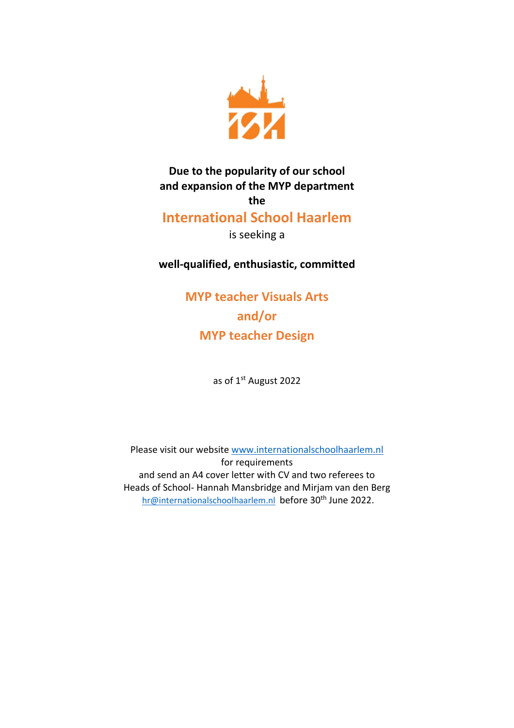

**Due to the popularity of our school and expansion of the MYP department the**

## **International School Haarlem**

is seeking a

**well-qualified, enthusiastic, committed**

**MYP teacher Visuals Arts and/or MYP teacher Design**

as of 1st August 2022

Please visit our website [www.internationalschoolhaarlem.nl](http://www.internationalschoolhaarlem.nl/) for requirements and send an A4 cover letter with CV and two referees to Heads of School- Hannah Mansbridge and Mirjam van den Berg [hr@internationalschoolhaarlem.nl](mailto:Hr@internationalschoolhaarlem.nl) before 30<sup>th</sup> June 2022.